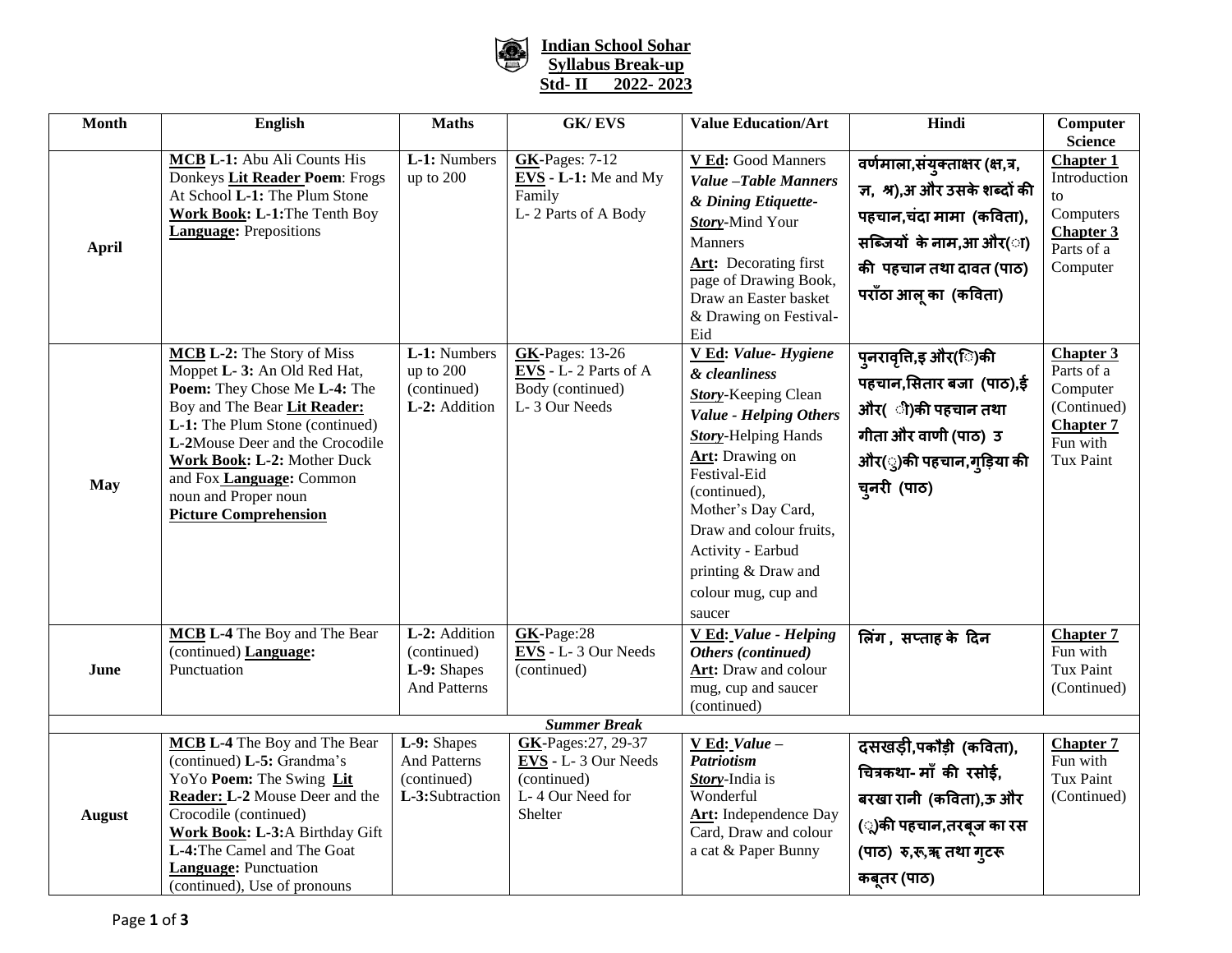

## **Indian School Sohar Syllabus Break-up Std- II 2022- 2023**

| <b>Month</b>        | <b>English</b>                                                                                                                                                                                                                                                                                                      | <b>Maths</b>                                                         | <b>GK/EVS</b>                                                                            | <b>Value Education/Art</b>                                                                                                                                                                                                                                                                                         | Hindi                                                                                                                                                                     | Computer                                                                                               |  |  |  |
|---------------------|---------------------------------------------------------------------------------------------------------------------------------------------------------------------------------------------------------------------------------------------------------------------------------------------------------------------|----------------------------------------------------------------------|------------------------------------------------------------------------------------------|--------------------------------------------------------------------------------------------------------------------------------------------------------------------------------------------------------------------------------------------------------------------------------------------------------------------|---------------------------------------------------------------------------------------------------------------------------------------------------------------------------|--------------------------------------------------------------------------------------------------------|--|--|--|
|                     |                                                                                                                                                                                                                                                                                                                     |                                                                      |                                                                                          |                                                                                                                                                                                                                                                                                                                    |                                                                                                                                                                           | <b>Science</b>                                                                                         |  |  |  |
| <b>April</b>        | MCB L-1: Abu Ali Counts His<br>Donkeys Lit Reader Poem: Frogs<br>At School L-1: The Plum Stone<br>Work Book: L-1: The Tenth Boy<br><b>Language:</b> Prepositions                                                                                                                                                    | L-1: Numbers<br>up to 200                                            | <b>GK-Pages: 7-12</b><br>$EVS - L-1$ : Me and My<br>Family<br>L-2 Parts of A Body        | V Ed: Good Manners<br>Value -Table Manners<br>& Dining Etiquette-<br>Story-Mind Your<br><b>Manners</b><br><b>Art:</b> Decorating first<br>page of Drawing Book,<br>Draw an Easter basket<br>& Drawing on Festival-<br>Eid                                                                                          | वर्णमाला,संयुक्ताक्षर (क्ष,त्र,<br>ज, श्र),अ और उसके शब्दों की<br>पहचान,चंदा मामा (कविता),<br>सब्जियों के नाम,आ और(ा)<br>की पहचान तथा दावत (पाठ)<br>पराँठा आलू का (कविता) | <b>Chapter 1</b><br>Introduction<br>to<br>Computers<br><b>Chapter 3</b><br>Parts of a<br>Computer      |  |  |  |
| <b>May</b>          | MCB L-2: The Story of Miss<br>Moppet L- 3: An Old Red Hat,<br>Poem: They Chose Me L-4: The<br>Boy and The Bear Lit Reader:<br>L-1: The Plum Stone (continued)<br>L-2Mouse Deer and the Crocodile<br>Work Book: L-2: Mother Duck<br>and Fox Language: Common<br>noun and Proper noun<br><b>Picture Comprehension</b> | L-1: Numbers<br>up to 200<br>(continued)<br>L-2: Addition            | <b>GK-Pages: 13-26</b><br>$EVS - L - 2$ Parts of A<br>Body (continued)<br>L-3 Our Needs  | V Ed: Value-Hygiene<br>& cleanliness<br><b>Story-Keeping Clean</b><br><b>Value - Helping Others</b><br><b>Story-Helping Hands</b><br>Art: Drawing on<br>Festival-Eid<br>(continued),<br>Mother's Day Card,<br>Draw and colour fruits,<br>Activity - Earbud<br>printing & Draw and<br>colour mug, cup and<br>saucer | पुनरावृति,इ और(ि)की<br>पहचान,सितार बजा (पाठ),ई<br>और( ी)की पहचान तथा<br>गीता और वाणी (पाठ) उ<br>ओर(ु)की पहचान,गुड़िया की<br>चुनरी (पाठ)                                   | <b>Chapter 3</b><br>Parts of a<br>Computer<br>(Continued)<br><b>Chapter 7</b><br>Fun with<br>Tux Paint |  |  |  |
| June                | MCB L-4 The Boy and The Bear<br>(continued) Language:<br>Punctuation                                                                                                                                                                                                                                                | L-2: Addition<br>(continued)<br>L-9: Shapes<br><b>And Patterns</b>   | GK-Page:28<br>EVS - L-3 Our Needs<br>(continued)                                         | V Ed: Value - Helping<br>Others (continued)<br>Art: Draw and colour<br>mug, cup and saucer<br>(continued)                                                                                                                                                                                                          | लिंग, सप्ताह के दिन                                                                                                                                                       | <b>Chapter 7</b><br>Fun with<br>Tux Paint<br>(Continued)                                               |  |  |  |
| <b>Summer Break</b> |                                                                                                                                                                                                                                                                                                                     |                                                                      |                                                                                          |                                                                                                                                                                                                                                                                                                                    |                                                                                                                                                                           |                                                                                                        |  |  |  |
| <b>August</b>       | MCB L-4 The Boy and The Bear<br>(continued) L-5: Grandma's<br>YoYo Poem: The Swing Lit<br>Reader: L-2 Mouse Deer and the<br>Crocodile (continued)<br>Work Book: L-3:A Birthday Gift<br>L-4: The Camel and The Goat<br><b>Language:</b> Punctuation<br>(continued), Use of pronouns                                  | L-9: Shapes<br><b>And Patterns</b><br>(continued)<br>L-3:Subtraction | GK-Pages: 27, 29-37<br>EVS - L-3 Our Needs<br>(continued)<br>L-4 Our Need for<br>Shelter | $\underline{V Ed: Value}$ -<br><b>Patriotism</b><br>Story-India is<br>Wonderful<br>Art: Independence Day<br>Card, Draw and colour<br>a cat & Paper Bunny                                                                                                                                                           | दसखड़ी,पकौड़ी (कविता),<br>चित्रकथा- माँ की रसोई,<br>बरखा रानी (कविता),ऊ और<br>(ू)की पहचान,तरबूज का रस<br>(पाठ) रु,रू,ॠ तथा गुटरू<br>कबूतर (पाठ)                           | <b>Chapter 7</b><br>Fun with<br>Tux Paint<br>(Continued)                                               |  |  |  |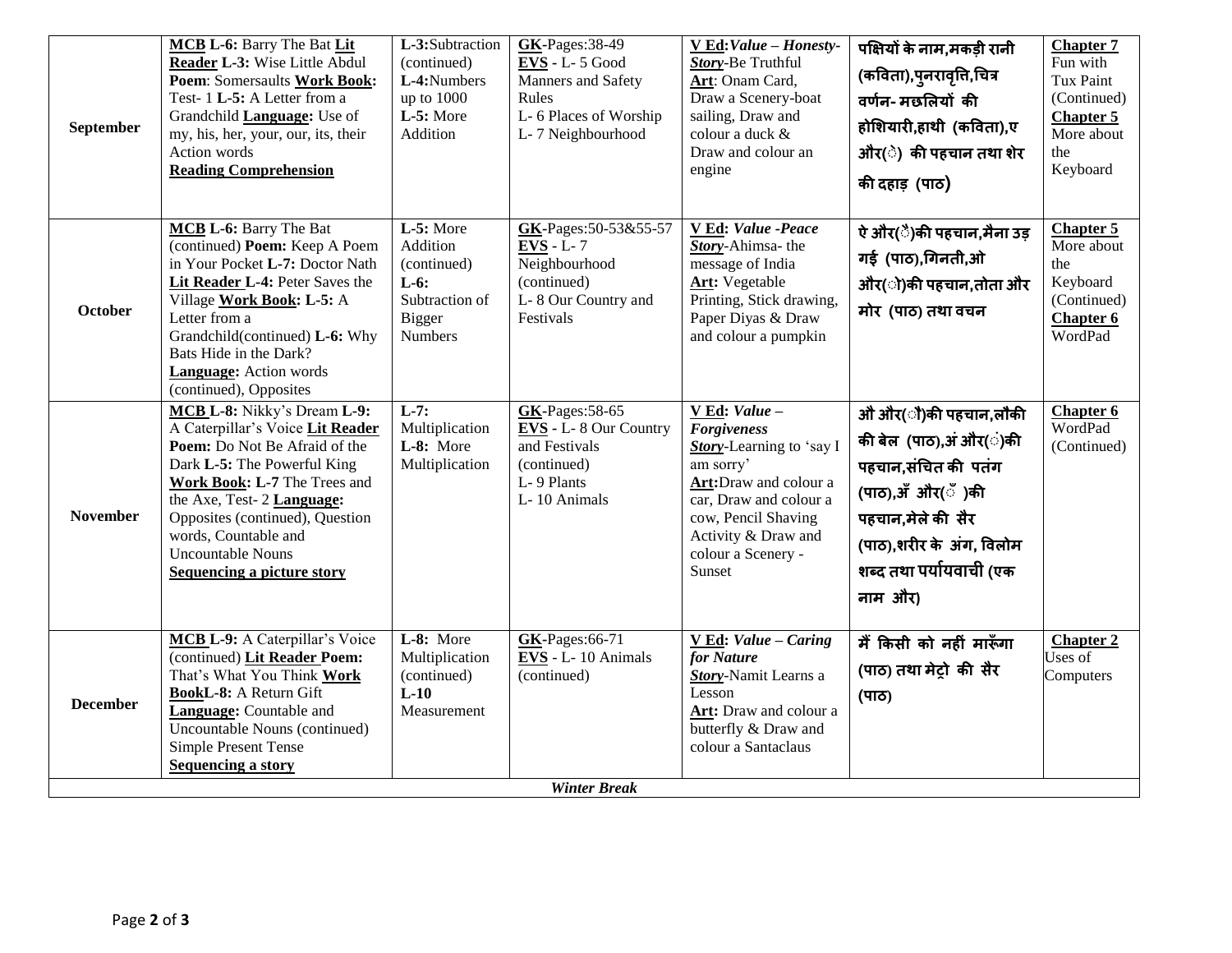| September           | MCB L-6: Barry The Bat Lit<br>Reader L-3: Wise Little Abdul<br>Poem: Somersaults Work Book:<br>Test-1L-5: A Letter from a<br>Grandchild Language: Use of<br>my, his, her, your, our, its, their<br>Action words<br><b>Reading Comprehension</b>                                                                    | L-3:Subtraction<br>(continued)<br>L-4:Numbers<br>up to 1000<br>L-5: More<br>Addition                   | $GK-Pages:38-49$<br>$EVS - L - 5$ Good<br>Manners and Safety<br>Rules<br>L-6 Places of Worship<br>L-7 Neighbourhood | V Ed: Value - Honesty-<br><b>Story-Be Truthful</b><br>Art: Onam Card,<br>Draw a Scenery-boat<br>sailing, Draw and<br>colour a duck &<br>Draw and colour an<br>engine                                          | पक्षियों के नाम,मकड़ी रानी<br>(कविता),पुनरावृत्ति,चित्र<br>वर्णन-मछलियों की<br>होशियारी,हाथी (कविता),ए<br>ओर(े) की पहचान तथा शेर<br>की दहाड़ (पाठ)                                  | <b>Chapter 7</b><br>Fun with<br>Tux Paint<br>(Continued)<br><b>Chapter 5</b><br>More about<br>the<br>Keyboard |  |
|---------------------|--------------------------------------------------------------------------------------------------------------------------------------------------------------------------------------------------------------------------------------------------------------------------------------------------------------------|--------------------------------------------------------------------------------------------------------|---------------------------------------------------------------------------------------------------------------------|---------------------------------------------------------------------------------------------------------------------------------------------------------------------------------------------------------------|-------------------------------------------------------------------------------------------------------------------------------------------------------------------------------------|---------------------------------------------------------------------------------------------------------------|--|
| October             | MCB L-6: Barry The Bat<br>(continued) Poem: Keep A Poem<br>in Your Pocket L-7: Doctor Nath<br>Lit Reader L-4: Peter Saves the<br>Village Work Book: L-5: A<br>Letter from a<br>Grandchild(continued) L-6: Why<br>Bats Hide in the Dark?<br><b>Language:</b> Action words<br>(continued), Opposites                 | $L-5$ : More<br>Addition<br>(continued)<br>$L-6:$<br>Subtraction of<br><b>Bigger</b><br><b>Numbers</b> | GK-Pages:50-53&55-57<br>$EVS - L - 7$<br>Neighbourhood<br>(continued)<br>L-8 Our Country and<br>Festivals           | V Ed: Value -Peace<br><b>Story-Ahimsa-</b> the<br>message of India<br><b>Art:</b> Vegetable<br>Printing, Stick drawing,<br>Paper Diyas & Draw<br>and colour a pumpkin                                         | ऐ और(ै)की पहचान,मैना उड़<br>गई (पाठ),गिनती,ओ<br>और(ो)की पहचान,तोता और<br>मोर (पाठ) तथा वचन                                                                                          | <b>Chapter 5</b><br>More about<br>the<br>Keyboard<br>(Continued)<br>Chapter 6<br>WordPad                      |  |
| <b>November</b>     | MCB L-8: Nikky's Dream L-9:<br>A Caterpillar's Voice Lit Reader<br>Poem: Do Not Be Afraid of the<br>Dark L-5: The Powerful King<br>Work Book: L-7 The Trees and<br>the Axe, Test- 2 Language:<br>Opposites (continued), Question<br>words, Countable and<br><b>Uncountable Nouns</b><br>Sequencing a picture story | $L-7$ :<br>Multiplication<br>L-8: More<br>Multiplication                                               | <b>GK-Pages: 58-65</b><br>EVS - L-8 Our Country<br>and Festivals<br>(continued)<br>L-9 Plants<br>L-10 Animals       | V Ed: Value -<br><b>Forgiveness</b><br>Story-Learning to 'say I<br>am sorry'<br>Art:Draw and colour a<br>car, Draw and colour a<br>cow, Pencil Shaving<br>Activity & Draw and<br>colour a Scenery -<br>Sunset | ओं और(ैं)की पहचान,लौकी<br>की बेल (पाठ),अं और(ं)की<br>पहचान,संचित की पतंग<br>(पाठ),अँ और(ँ)की<br>पहचान,मेले की सैर<br>(पाठ),शरीर के अंग, विलोम<br>शब्द तथा पर्यायवाची (एक<br>नाम और) | Chapter 6<br>WordPad<br>(Continued)                                                                           |  |
| <b>December</b>     | MCB L-9: A Caterpillar's Voice<br>(continued) Lit Reader Poem:<br>That's What You Think Work<br><b>BookL-8:</b> A Return Gift<br>Language: Countable and<br>Uncountable Nouns (continued)<br>Simple Present Tense<br><b>Sequencing a story</b>                                                                     | L-8: More<br>Multiplication<br>(continued)<br>$L-10$<br>Measurement                                    | <b>GK-Pages:66-71</b><br>$EVS - L - 10$ Animals<br>(continued)                                                      | $V Ed: Value - Caring$<br>for Nature<br><b>Story-Namit Learns a</b><br>Lesson<br>Art: Draw and colour a<br>butterfly & Draw and<br>colour a Santaclaus                                                        | मैं किसी को नहीं मारूँगा<br>(पाठ) तथा मेट़ो की सैर<br>$(TT\sigma)$                                                                                                                  | <b>Chapter 2</b><br>Uses of<br>Computers                                                                      |  |
| <b>Winter Break</b> |                                                                                                                                                                                                                                                                                                                    |                                                                                                        |                                                                                                                     |                                                                                                                                                                                                               |                                                                                                                                                                                     |                                                                                                               |  |